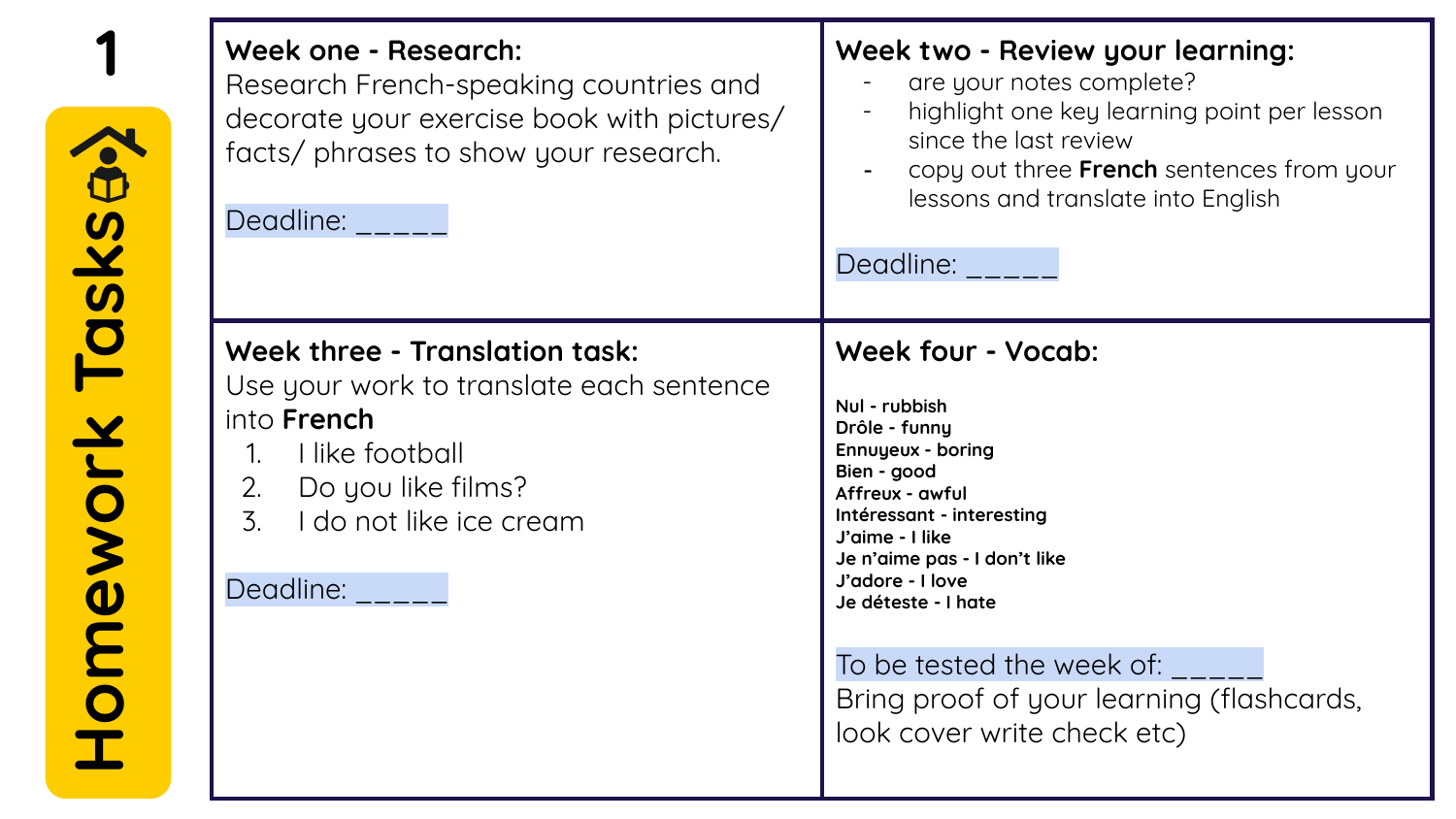|                | Week one - Research:<br>Research French-speaking countries and<br>decorate your exercise book with pictures/<br>facts/ phrases to show your research.<br>Deadline:                                                         | Week two - Review your learning:<br>are your notes complete?<br>highlight one key learning point per lesson<br>since the last review<br>copy out three French sentences from your<br>lessons and translate into English<br>Deadline: <b>Deadline</b>                                                                                            |
|----------------|----------------------------------------------------------------------------------------------------------------------------------------------------------------------------------------------------------------------------|-------------------------------------------------------------------------------------------------------------------------------------------------------------------------------------------------------------------------------------------------------------------------------------------------------------------------------------------------|
| Homework Tasks | Week three - Translation task:<br>Use your work to translate each sentence<br>into <b>French</b><br>I like football<br>$1_{\cdot}$<br>Do you like films?<br>2.<br>$\overline{3}$ .<br>I do not like ice cream<br>Deadline: | Week four - Vocab:<br>Nul - rubbish<br>Drôle - funny<br>Ennuyeux - boring<br>Bien - good<br>Affreux - awful<br>Intéressant - interesting<br>J'aime - I like<br>Je n'aime pas - I don't like<br>J'adore - I love<br>Je déteste - I hate<br>To be tested the week of:<br>Bring proof of your learning (flashcards,<br>look cover write check etc) |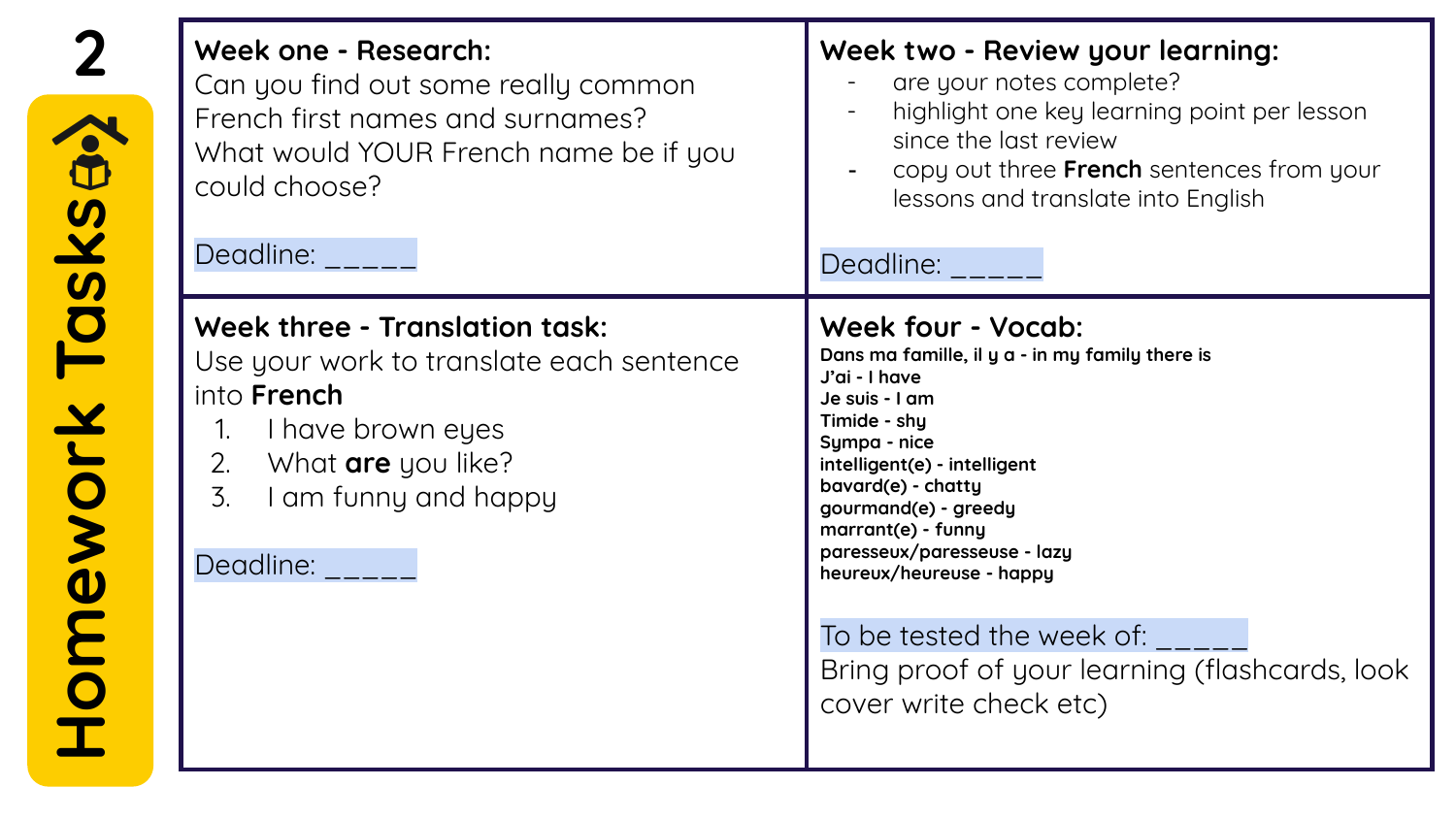| Week one - Research:<br>Can you find out some really common<br>French first names and surnames?<br>What would YOUR French name be if you<br>could choose?<br>Deadline:                                    | Week two - Review your learning:<br>are your notes complete?<br>highlight one key learning point per lesson<br>since the last review<br>copy out three French sentences from your<br>lessons and translate into English<br>Deadline:                                                                    |
|-----------------------------------------------------------------------------------------------------------------------------------------------------------------------------------------------------------|---------------------------------------------------------------------------------------------------------------------------------------------------------------------------------------------------------------------------------------------------------------------------------------------------------|
| Week three - Translation task:<br>Use your work to translate each sentence<br>into <b>French</b><br>I have brown eyes<br>1.<br>What <b>are</b> you like?<br>2.<br>3.<br>I am funny and happy<br>Deadline: | Week four - Vocab:<br>Dans ma famille, il y a - in my family there is<br>J'ai - I have<br>Je suis - I am<br>Timide - shy<br>Sympa - nice<br>intelligent(e) - intelligent<br>bavard(e) - chatty<br>gourmand(e) - greedy<br>marrant(e) - funny<br>paresseux/paresseuse - lazy<br>heureux/heureuse - happy |
|                                                                                                                                                                                                           | To be tested the week of:<br>Bring proof of your learning (flashcards, look<br>cover write check etc)                                                                                                                                                                                                   |